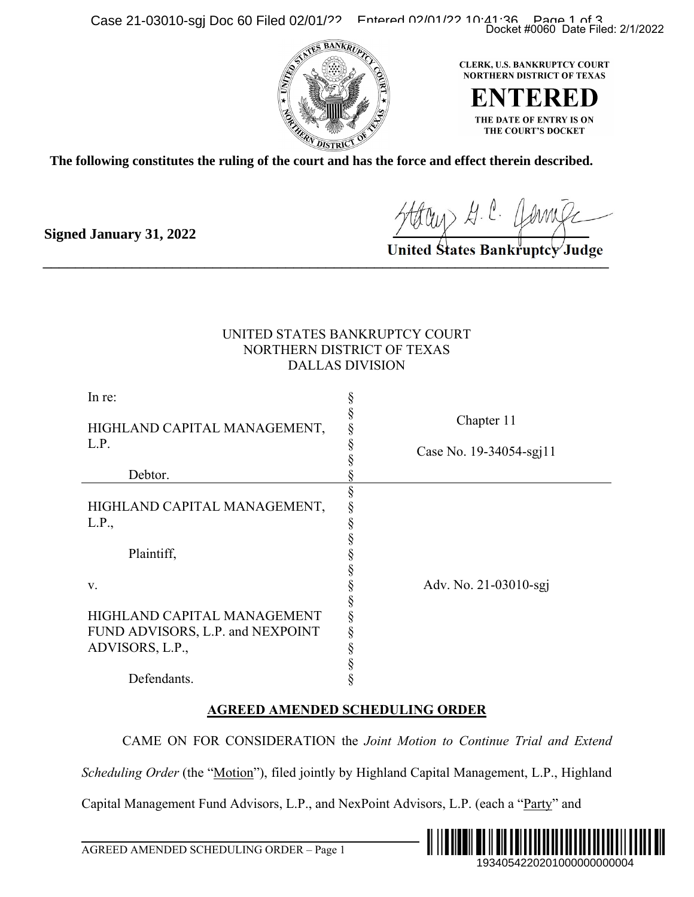Case 21-03010-sgj Doc 60 Filed 02/01/22 Entered 02/01/22 10:41:36 Page 21-03010-sgj Doc 60 Filed 02/01/22 Entered 02/01/2022



**The following constitutes the ruling of the court and has the force and effect therein described.**

**Signed January 31, 2022**

## UNITED STATES BANKRUPTCY COURT NORTHERN DISTRICT OF TEXAS DALLAS DIVISION

|                                                                                              | Docket #0060 Date Filed: 2/1/2022                                                                                             |  |
|----------------------------------------------------------------------------------------------|-------------------------------------------------------------------------------------------------------------------------------|--|
| ollowing constitutes the ruling of the court and has the force and effect therein described. | CLERK, U.S. BANKRUPTCY COURT<br><b>NORTHERN DISTRICT OF TEXAS</b><br>ENTERED<br>THE DATE OF ENTRY IS ON<br>THE COURT'S DOCKET |  |
| d January 31, 2022                                                                           | Staten G. C. Comic<br>United States Bankruptcy Judge                                                                          |  |
|                                                                                              | UNITED STATES BANKRUPTCY COURT<br>NORTHERN DISTRICT OF TEXAS<br><b>DALLAS DIVISION</b>                                        |  |
| In re:                                                                                       |                                                                                                                               |  |
| HIGHLAND CAPITAL MANAGEMENT,<br>L.P.                                                         | §<br>§<br>§<br>§<br>Chapter 11<br>Case No. 19-34054-sgj11                                                                     |  |
| Debtor.                                                                                      |                                                                                                                               |  |
| HIGHLAND CAPITAL MANAGEMENT,<br>L.P.,<br>Plaintiff,                                          | §<br>§<br>§                                                                                                                   |  |
| V.                                                                                           | Adv. No. 21-03010-sgj                                                                                                         |  |
| HIGHLAND CAPITAL MANAGEMENT<br>FUND ADVISORS, L.P. and NEXPOINT<br>ADVISORS, L.P.,           | こうこうこう こうこう                                                                                                                   |  |
| Defendants.                                                                                  |                                                                                                                               |  |
|                                                                                              | <b>AGREED AMENDED SCHEDULING ORDER</b>                                                                                        |  |
|                                                                                              | CAME ON FOR CONSIDERATION the Joint Motion to Continue Trial and Extend                                                       |  |
|                                                                                              | Scheduling Order (the "Motion"), filed jointly by Highland Capital Management, L.P., Highland                                 |  |
| Capital Management Fund Advisors, L.P., and NexPoint Advisors, L.P. (each a "Party" and      |                                                                                                                               |  |
| AGREED AMENDED SCHEDULING ORDER – Page 1                                                     | 1934054220201000000000004                                                                                                     |  |

## **AGREED AMENDED SCHEDULING ORDER**



l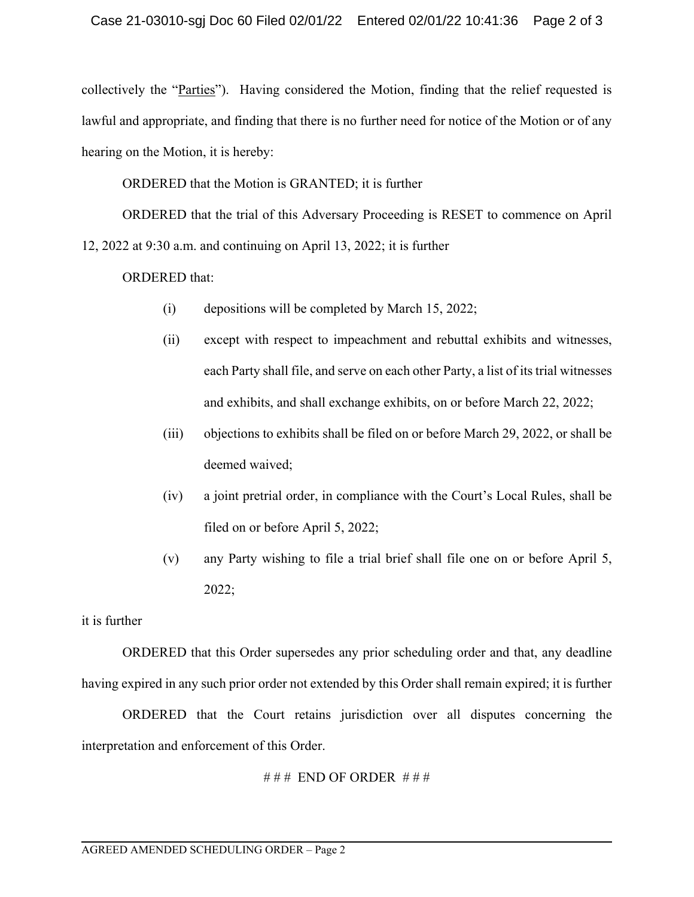collectively the "Parties"). Having considered the Motion, finding that the relief requested is lawful and appropriate, and finding that there is no further need for notice of the Motion or of any hearing on the Motion, it is hereby:

ORDERED that the Motion is GRANTED; it is further

ORDERED that the trial of this Adversary Proceeding is RESET to commence on April 12, 2022 at 9:30 a.m. and continuing on April 13, 2022; it is further

ORDERED that:

- (i) depositions will be completed by March 15, 2022;
- (ii) except with respect to impeachment and rebuttal exhibits and witnesses, each Party shall file, and serve on each other Party, a list of its trial witnesses and exhibits, and shall exchange exhibits, on or before March 22, 2022;
- (iii) objections to exhibits shall be filed on or before March 29, 2022, or shall be deemed waived;
- (iv) a joint pretrial order, in compliance with the Court's Local Rules, shall be filed on or before April 5, 2022;
- (v) any Party wishing to file a trial brief shall file one on or before April 5, 2022;

it is further

 ORDERED that this Order supersedes any prior scheduling order and that, any deadline having expired in any such prior order not extended by this Order shall remain expired; it is further

 ORDERED that the Court retains jurisdiction over all disputes concerning the interpretation and enforcement of this Order.

```
# # # END OF ORDER # # #
```